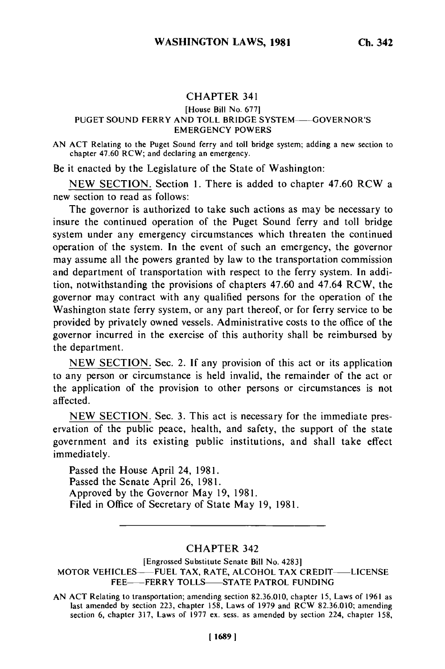## CHAPTER **341**

### [House Bill No. 677] PUGET SOUND FERRY AND TOLL BRIDGE SYSTEM-GOVERNOR'S EMERGENCY POWERS

AN ACT Relating to the Puget Sound ferry and toll bridge system; adding a new section to chapter 47.60 RCW; and declaring an emergency.

Be it enacted by the Legislature of the State of Washington:

NEW SECTION. Section 1. There is added to chapter 47.60 RCW a new section to read as follows:

The governor is authorized to take such actions as may be necessary to insure the continued operation of the Puget Sound ferry and toll bridge system under any emergency circumstances which threaten the continued operation of the system. In the event of such an emergency, the governor may assume all the powers granted by law to the transportation commission and department of transportation with respect to the ferry system. In addition, notwithstanding the provisions of chapters 47.60 and 47.64 RCW, the governor may contract with any qualified persons for the operation of the Washington state ferry system, or any part thereof, or for ferry service to be provided by privately owned vessels. Administrative costs to the office of the governor incurred in the exercise of this authority shall be reimbursed by the department.

NEW SECTION. Sec. 2. If any provision of this act or its application to any person or circumstance is held invalid, the remainder of the act or the application of the provision to other persons or circumstances is not affected.

NEW SECTION. Sec. 3. This act is necessary for the immediate preservation of the public peace, health, and safety, the support of the state government and its existing public institutions, and shall take effect immediately.

Passed the House April 24, 1981. Passed the Senate April 26, 1981. Approved by the Governor May 19, 1981. Filed in Office of Secretary of State May 19, 1981.

# CHAPTER 342

[Engrossed Substitute Senate Bill No. 4283] MOTOR VEHICLES- FUEL TAX, RATE, **ALCOHOL** TAX **CREDIT-** LICENSE FEE-- FERRY TOLLS-STATE PATROL FUNDING

AN ACT Relating to transportation; amending section 82.36.010, chapter 15, Laws of 1961 as ALL RELATING TO HALLS DIRECT AMENDING SECTION  $\delta L 20.010$ ; chapter 158, Laws of 1979 and RCW 82.36.010; amending last amended by section 223, chapter  $158$ , Laws of 1979 and RCW 82.36.010; amending section 6, chapter 317, Laws of 1977 ex. sess. as amended by section 224, chapter 158,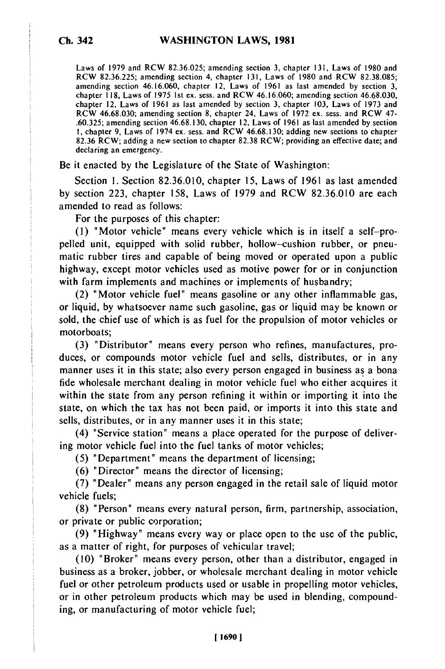Laws of 1979 and RCW 82.36.025; amending section 3, chapter 131, Laws of 1980 and RCW 82.36.225; amending section 4, chapter 131, Laws of 1980 and RCW 82.38.085; amending section 46.16.060, chapter 12, Laws of 1961 as last amended by section 3, chapter 118, Laws of 1975 1st ex. sess. and RCW 46.16.060; amending section 46.68.030, chapter 12, Laws of 1961 as last amended by section 3, chapter 103, Laws of 1973 and RCW 46.68.030; amending section 8, chapter 24, Laws of 1972 ex. sess. and RCW 47- .60.325; amending section 46.68.130, chapter 12, Laws of 1961 as last amended by section I, chapter 9, Laws of 1974 ex. sess. and RCW 46.68.130; adding new sections to chapter 82.36 RCW; adding a new section to chapter 82.38 RCW; providing an effective date; and declaring an emergency.

Be it enacted by the Legislature of the State of Washington:

Section 1. Section 82.36.010, chapter 15, Laws of 1961 as last amended by section 223, chapter 158, Laws of 1979 and RCW 82.36.010 are each amended to read as follows:

For the purposes of this chapter:

(1) "Motor vehicle" means every vehicle which is in itself a self-propelled unit, equipped with solid rubber, hollow-cushion rubber, or pneumatic rubber tires and capable of being moved or operated upon a public highway, except motor vehicles used as motive power for or in conjunction with farm implements and machines or implements of husbandry;

(2) "Motor vehicle fuel" means gasoline or any other inflammable gas, or liquid, by whatsoever name such gasoline, gas or liquid may be known or sold, the chief use of which is as fuel for the propulsion of motor vehicles or motorboats;

(3) "Distributor" means every person who refines, manufactures, produces, or compounds motor vehicle fuel and sells, distributes, or in any manner uses it in this state; also every person engaged in business as a bona fide wholesale merchant dealing in motor vehicle fuel who either acquires it within the state from any person refining it within or importing it into the state, on which the tax has not been paid, or imports it into this state and sells, distributes, or in any manner uses it in this state;

(4) "Service station" means a place operated for the purpose of delivering motor vehicle fuel into the fuel tanks of motor vehicles;

(5) "Department" means the department of licensing;

(6) "Director" means the director of licensing;

(7) "Dealer" means any person engaged in the retail sale of liquid motor vehicle fuels;

(8) "Person" means every natural person, firm, partnership, association, or private or public corporation;

(9) "Highway" means every way or place open to the use of the public, as a matter of right, for purposes of vehicular travel;

(10) "Broker" means every person, other than a distributor, engaged in business as a broker, jobber, or wholesale merchant dealing in motor vehicle fuel or other petroleum products used or usable in propelling motor vehicles, or in other petroleum products which may be used in blending, compounding, or manufacturing of motor vehicle fuel;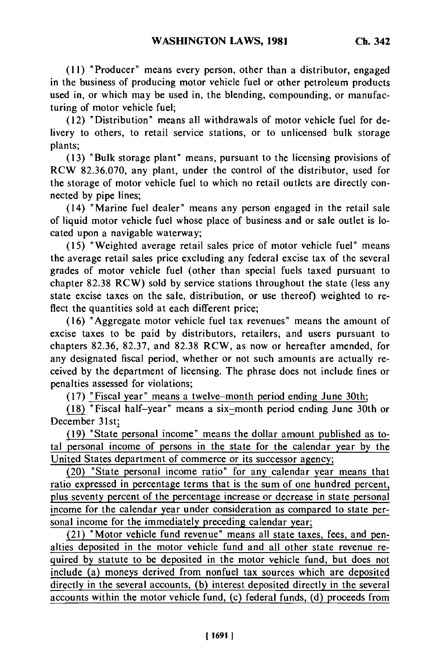(11) "Producer" means every person, other than a distributor, engaged in the business of producing motor vehicle fuel or other petroleum products used in, or which may be used in, the blending, compounding, or manufacturing of motor vehicle fuel;

(12) "Distribution" means all withdrawals of motor vehicle fuel for delivery to others, to retail service stations, or to unlicensed bulk storage plants;

(13) "Bulk storage plant" means, pursuant to the licensing provisions of RCW 82.36.070, any plant, under the control of the distributor, used for the storage of motor vehicle fuel to which no retail outlets are directly connected by pipe lines;

(14) "Marine fuel dealer" means any person engaged in the retail sale of liquid motor vehicle fuel whose place of business and or sale outlet is located upon a navigable waterway;

(15) "Weighted average retail sales price of motor vehicle fuel" means the average retail sales price excluding any federal excise tax of the several grades of motor vehicle fuel (other than special fuels taxed pursuant to chapter 82.38 RCW) sold by service stations throughout the state (less any state excise taxes on the sale, distribution, or use thereof) weighted to reflect the quantities sold at each different price;

(16) "Aggregate motor vehicle fuel tax revenues" means the amount of excise taxes to be paid by distributors, retailers, and users pursuant to chapters 82.36, 82.37, and 82.38 RCW, as now or hereafter amended, for any designated fiscal period, whether or not such amounts are actually received by the department of licensing. The phrase does not include fines or penalties assessed for violations;

(17) "Fiscal year" means a twelve-month period ending June 30th;

(18) "Fiscal half-year" means a six-month period ending June 30th or December 31st;

(19) "State personal income" means the dollar amount published as total personal income of persons in the state for the calendar year by the United States department of commerce or its successor agency;

(20) "State personal income ratio" for any calendar year means that ratio expressed in percentage terms that is the sum of one hundred percent, plus seventy percent of the percentage increase or decrease in state personal income for the calendar year under consideration as compared to state personal income for the immediately preceding calendar year;

(21) "Motor vehicle fund revenue" means all state taxes, fees, and penalties deposited in the motor vehicle fund and all other state revenue required by statute to be deposited in the motor vehicle fund, but does not include (a) moneys derived from nonfuel tax sources which are deposited directly in the several accounts, (b) interest deposited directly in the several accounts within the motor vehicle fund, (c) federal funds, (d) proceeds from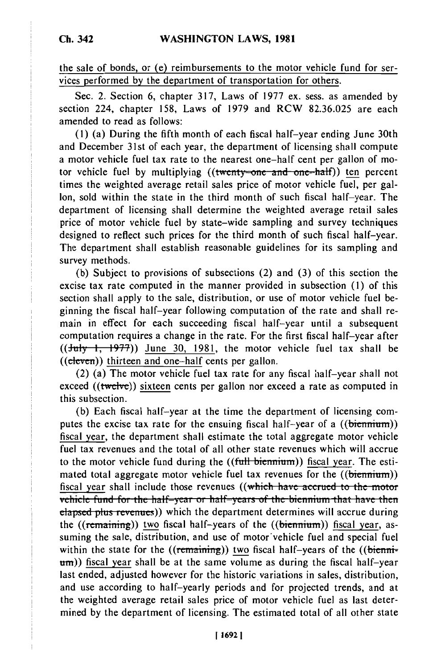the sale of bonds, or (e) reimbursements to the motor vehicle fund for services performed by the department of transportation for others.

Sec. 2. Section 6, chapter 317, Laws of 1977 ex. sess. as amended by section 224, chapter 158, Laws of 1979 and RCW 82.36.025 are each amended to read as follows:

(1) (a) During the fifth month of each fiscal half-year ending June 30th and December 31st of each year, the department of licensing shall compute a motor vehicle fuel tax rate to the nearest one-half cent per gallon of motor vehicle fuel by multiplying ((twenty-one and one-half)) ten percent times the weighted average retail sales price of motor vehicle fuel, per gallon, sold within the state in the third month of such fiscal half-year. The department of licensing shall determine the weighted average retail sales price of motor vehicle fuel by state-wide sampling and survey techniques designed to reflect such prices for the third month of such fiscal half-year. The department shall establish reasonable guidelines for its sampling and survey methods.

(b) Subject to provisions of subsections (2) and (3) of this section the excise tax rate computed in the manner provided in subsection (1) of this section shall apply to the sale, distribution, or use of motor vehicle fuel beginning the fiscal half-year following computation of the rate and shall remain in effect for each succeeding fiscal half-year until a subsequent computation requires a change in the rate. For the first fiscal half-year after ((July **f, f977))** June **30,** 1981, the motor vehicle fuel tax shall be ((eleven)) thirteen and one-half cents per gallon.

(2) (a) The motor vehicle fuel tax rate for any fiscal half-year shall not exceed ((twelve)) sixteen cents per gallon nor exceed a rate as computed in this subsection.

(b) Each fiscal half-year at the time the department of licensing computes the excise tax rate for the ensuing fiscal half-year of a  $((\underline{\text{bienmium}}))$ fiscal year, the department shall estimate the total aggregate motor vehicle fuel tax revenues and the total of all other state revenues which will accrue to the motor vehicle fund during the **((full biennium)**) fiscal year. The estimated total aggregate motor vehicle fuel tax revenues for the ((biennium)) fiscal year shall include those revenues ((which have accrued to the motor vehicle fund for the half-year or half-years of the biennium that have then **elapsed plus revenues))** which the department determines will accrue during the (( $\epsilon$ ) two fiscal half-years of the ( $\epsilon$ ) (biennium)) fiscal year, assuming the sale, distribution, and use of motor'vehicle fuel and special fuel within the state for the ((remaining)) two fiscal half-years of the ((bienni $tanh$ )) fiscal year shall be at the same volume as during the fiscal half-year last ended, adjusted however for the historic variations in sales, distribution, and use according to half-yearly periods and for projected trends, and at the weighted average retail sales price of motor vehicle fuel as last determined by the department of licensing. The estimated total of all other state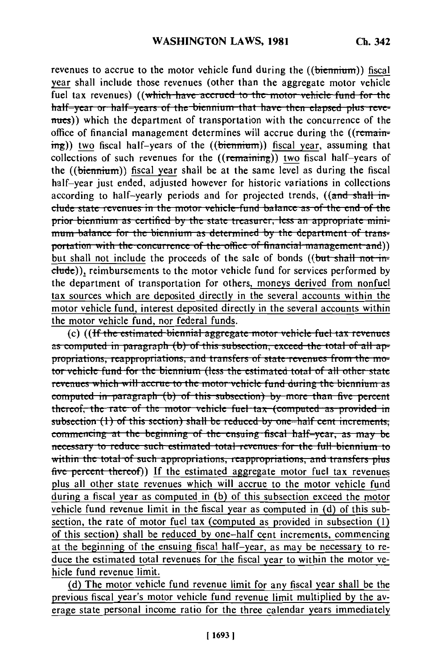revenues to accrue to the motor vehicle fund during the ((biennium)) fiscal year shall include those revenues (other than the aggregate motor vehicle fuel tax revenues) ((which have accrued to the motor vehicle fund for the half-year or half-years of the biennium that have then elapsed plus revenues)) which the department of transportation with the concurrence of the office of financial management determines will accrue during the ((remain- $\frac{f(m\pi)}{m}$ ) two fiscal half-years of the ((biennium)) fiscal year, assuming that collections of such revenues for the  $((\overline{\text{remaining}}))$  two fiscal half-years of the ((biennium)) fiscal year shall be at the same level as during the fiscal half-year just ended, adjusted however for historic variations in collections according to half-yearly periods and for projected trends, ((and shall include state revenues in the motor vehicle fund balance as of the end of the prior biennium as certified by the state treasurer, less an appropriate minimum balance for the biennium as determined by the department of transportation with the concurrence of the office of financial management and)) but shall not include the proceeds of the sale of bonds ((but shall not include)), reimbursements to the motor vehicle fund for services performed by the department of transportation for others, moneys derived from nonfuel tax sources which are deposited directly in the several accounts within the motor vehicle fund, interest deposited directly in the several accounts within the motor vehicle fund, nor federal funds.

(c) ((If the estimated biennial aggregate motor vehicle fuel tax revenues as computed in paragraph (b) of this subsection, exceed the total of all appropriations, reappropriations, and transfers of state revenues from the motor vehicle fund for the biennium (less the estimated total of all other state revenues which will accrue to the motor vehicle fund during the biennium as computed in paragraph (b) of this subsection) by more than five percent thereof, the rate of the motor vehicle fuel tax (computed as provided in subsection  $(1)$  of this section) shall be reduced by one-half cent increments, commencing at the beginning of the ensuing fiscal half-year, as may be necessary to reduce such estimated total revenues for the full biennium to within the total of such appropriations, reappropriations, and transfers plus five percent thereof)) If the estimated aggregate motor fuel tax revenues plus all other state revenues which will accrue to the motor vehicle fund during a fiscal year as computed in (b) of this subsection exceed the motor vehicle fund revenue limit in the fiscal year as computed in (d) of this subsection, the rate of motor fuel tax (computed as provided in subsection (1) of this section) shall be reduced by one-half cent increments, commencing at the beginning of the ensuing fiscal half-year, as may be necessary to reduce the estimated total revenues for the fiscal year to within the motor vehicle fund revenue limit.

(d) The motor vehicle fund revenue limit for any fiscal year shall be the previous fiscal year's motor vehicle fund revenue limit multiplied by the average state personal income ratio for the three calendar years immediately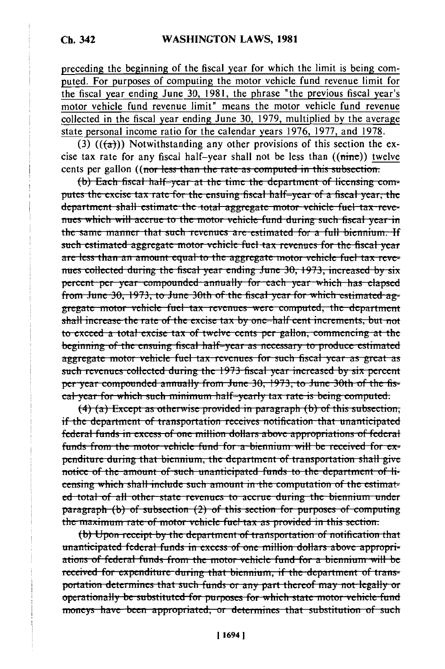preceding the beginning of the fiscal year for which the limit is being computed. For purposes of computing the motor vehicle fund revenue limit for the fiscal year ending June 30, 1981, the phrase "the previous fiscal year's motor vehicle fund revenue limit" means the motor vehicle fund revenue collected in the fiscal year ending June 30, 1979, multiplied by the average state personal income ratio for the calendar years 1976, 1977, and 1978.

(3)  $((a))$  Notwithstanding any other provisions of this section the excise tax rate for any fiscal half-year shall not be less than  $((\text{time}))$  twelve cents per gallon ((nor less than the rate as computed in this subsection.

(b) Each fiscal half-year at the time the department of licensing computes the excise tax rate for the ensuing fiscal half-year of a fiscal year, the department shall estimate the total aggregate motor vehicle fuel tax revenues which will accrue to the motor vehicle fund during such fiscal year in the same manner that such revenues are estimated for a full biennium. If such estimated aggregate motor vehicle fuel tax revenues for the fiscal vear are less than an amount equal to the aggregate motor vehicle fuel tax revenues collected during the fiscal year ending June 30, 1973, increased by six percent per year compounded annually for each year which has elapsed from June 30, 1973, to June 30th of the fiscal year for which estimated aggregate motor vehicle fuel tax revenues were computed, the department shall increase the rate of the excise tax by one-half cent increments, but not to exceed a total excise tax of twelve cents per gallon, commencing at the beginning of the ensuing fiscal half-year as necessary to produce estimated aggregate motor vehicle fuel tax revenues for such fiscal year as great as such revenues collected during the 1973 fiscal year increased by six percent per year compounded annually from June 30, 1973, to June 30th of the fiscal year for which such minimum half-yearly tax rate is being computed.

 $(4)$  (a) Except as otherwise provided in paragraph (b) of this subsection, if the department of transportation receives notification that unanticipated federal funds in excess of one million dollars above appropriations of federal funds from the motor vehicle fund for a biennium will be received for expenditure during that biennium, the department of transportation shall give notice of the amount of such unanticipated funds to the department of licensing which shall include such amount in the computation of the estimated total of all other state revenues to accrue during the biennium under paragraph  $(b)$  of subsection  $(2)$  of this section for purposes of computing the maximum rate of motor vehicle fuel tax as provided in this section.

(b) Upon receipt by the department of transportation of notification that unanticipated federal funds in excess of one million dollars above appropriations of federal funds from the motor vehicle fund for a biennium will be received for expenditure during that biennium, if the department of transportation determines that such funds or any part thereof may not legally or operationally be substituted for purposes for which state motor vehicle fund moneys have been appropriated, or determines that substitution of such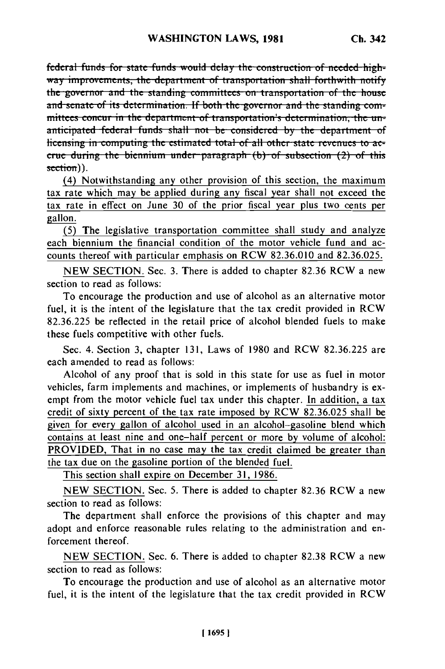federal funds for state funds would delay the construction of needed-highway improvements, the department of transportation shall forthwith notify the governor and the standing committees on transportation of the house and senate of its determination. If both the governor and the standing committees concur in the department of transportation's determination, the unanticipated federal funds shall not be considered by the department of licensing in computing the estimated total of all other state revenues to accrue during the biennium under paragraph  $(b)$  of subsection  $(2)$  of this section)).

(4) Notwithstanding any other provision of this section, the maximum tax rate which may be applied during any fiscal year shall not exceed the tax rate in effect on June 30 of the prior fiscal year plus two cents per gallon.

(5) The legislative transportation committee shall study and analyze each biennium the financial condition of the motor vehicle fund and accounts thereof with particular emphasis on RCW 82.36.010 and 82.36.025.

NEW SECTION. Sec. 3. There is added to chapter 82.36 RCW a new section to read as follows:

To encourage the production and use of alcohol as an alternative motor fuel, it is the intent of the legislature that the tax credit provided in RCW 82.36.225 be reflected in the retail price of alcohol blended fuels to make these fuels competitive with other fuels.

Sec. 4. Section 3, chapter 131, Laws of 1980 and RCW 82.36.225 are each amended to read as follows:

Alcohol of any proof that is sold in this state for use as fuel in motor vehicles, farm implements and machines, or implements of husbandry is exempt from the motor vehicle fuel tax under this chapter. In addition, a tax credit of sixty percent of the tax rate imposed by RCW 82.36.025 shall be given for every gallon of alcohol used in an alcohol-gasoline blend which contains at least nine and one-half percent or more by volume of alcohol: PROVIDED, That in no case may the tax credit claimed be greater than the tax due on the gasoline portion of the blended fuel.

This section shall expire on December 31, 1986.

NEW SECTION. Sec. 5. There is added to chapter 82.36 RCW a new section to read as follows:

The department shall enforce the provisions of this chapter and may adopt and enforce reasonable rules relating to the administration and enforcement thereof.

NEW SECTION. Sec. 6. There is added to chapter 82.38 RCW a new section to read as follows:

To encourage the production and use of alcohol as an alternative motor fuel, it is the intent of the legislature that the tax credit provided in RCW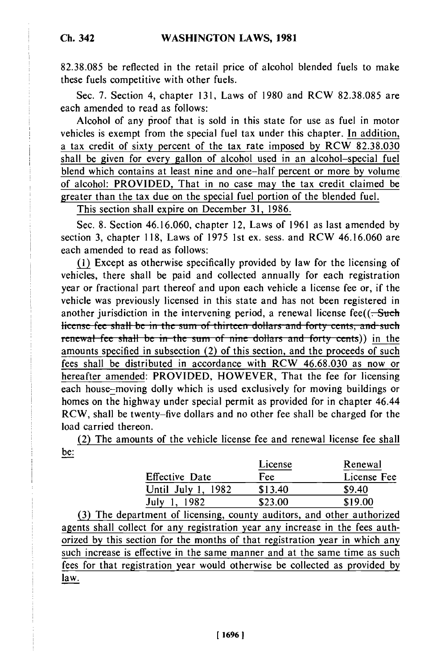82.38.085 be reflected in the retail price of alcohol blended fuels to make these fuels competitive with other fuels.

Sec. 7. Section 4, chapter 131, Laws of 1980 and RCW 82.38.085 are each amended to read as follows:

Alcohol of any pfroof that is sold in this state for use as fuel in motor vehicles is exempt from the special fuel tax under this chapter. In addition, a tax credit of sixty percent of the tax rate imposed by RCW 82.38.030 shall be given for every gallon of alcohol used in an alcohol-special fuel blend which contains at least nine and one-half percent or more by volume of alcohol: PROVIDED, That in no case may the tax credit claimed be greater than the tax due on the special fuel portion of the blended fuel.

This section shall expire on December 31, 1986.

Sec. 8. Section 46.16.060, chapter 12, Laws of 1961 as last amended by section 3, chapter 118, Laws of 1975 1st ex. sess. and RCW 46.16.060 are each amended to read as follows:

(1) Except as otherwise specifically provided by law for the licensing of vehicles, there shall be paid and collected annually for each registration year or fractional part thereof and upon each vehicle a license fee or, if the vehicle was previously licensed in this state and has not been registered in another jurisdiction in the intervening period, a renewal license fee( $(-5$ license fee shall be in the sum of thirteen dollars and forty cents, and such **ide i** renewal fee shall be in the sum of nine dollars and forty cents)) in the amounts specified in subsection (2) of this section, and the proceeds of such fees shall be distributed in accordance with RCW 46.68.030 as now or hereafter amended: PROVIDED, HOWEVER, That the fee for licensing each house-moving dolly which is used exclusively for moving buildings or homes on the highway under special permit as provided for in chapter 46.44 RCW, shall be twenty-five dollars and no other fee shall be charged for the load carried thereon.

(2) The amounts of the vehicle license fee and renewal license fee shall be:

|                       | License | Renewal     |
|-----------------------|---------|-------------|
| <b>Effective Date</b> | Fee     | License Fee |
| Until July 1, 1982    | \$13.40 | \$9.40      |
| July 1.               | \$23.00 | \$19.00     |

(3) The department of licensing, county auditors, and other authorized agents shall collect for any registration year any increase in the fees authorized by this section for the months of that registration year in which any such increase is effective in the same manner and at the same time as such fees for that registration year would otherwise be collected as provided by law.

**Ch. 342**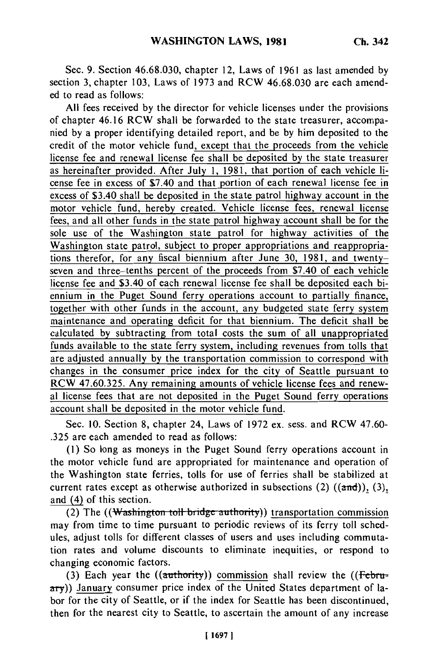Sec. 9. Section 46.68.030, chapter 12, Laws of 1961 as last amended by section 3, chapter 103, Laws of 1973 and RCW 46.68.030 are each amended to read as follows:

All fees received by the director for vehicle licenses under the provisions of chapter 46.16 RCW shall be forwarded to the state treasurer, accompanied by a proper identifying detailed report, and be by him deposited to the credit of the motor vehicle fund, except that the proceeds from the vehicle license fee and renewal license fee shall be deposited by the state treasurer as hereinafter provided. After July 1, 1981, that portion of each vehicle license fee in excess of \$7.40 and that portion of each renewal license fee in excess of \$3.40 shall be deposited in the state patrol highway account in the motor vehicle fund, hereby created. Vehicle license fees, renewal license fees, and all other funds in the state patrol highway account shall be for the sole use of the Washington state patrol for highway activities of the Washington state patrol, subject to proper appropriations and reappropriations therefor, for any fiscal biennium after June 30, 1981, and twentyseven and three-tenths percent of the proceeds from \$7.40 of each vehicle license fee and \$3.40 of each renewal license fee shall be deposited each biennium in the Puget Sound ferry operations account to partially finance, together with other funds in the account, any budgeted state ferry system maintenance and operating deficit for that biennium. The deficit shall be calculated by subtracting from total costs the sum of all unappropriated funds available to the state ferry system, including revenues from tolls that are adjusted annually by the transportation commission to correspond with changes in the consumer price index for the city of Seattle pursuant to RCW 47.60.325. Any remaining amounts of vehicle license fees and renewal license fees that are not deposited in the Puget Sound ferry operations account shall be deposited in the motor vehicle fund.

Sec. 10. Section 8, chapter 24, Laws of 1972 ex. sess. and RCW 47.60- .325 are each amended to read as follows:

(1) So long as moneys in the Puget Sound ferry operations account in the motor vehicle fund are appropriated for maintenance and operation of the Washington state ferries, tolls for use of ferries shall be stabilized at current rates except as otherwise authorized in subsections (2)  $((\text{and})), (3)$ , and (4) of this section.

(2) The ((Washington toll bridge authority)) transportation commission may from time to time pursuant to periodic reviews of its ferry toll schedules, adjust tolls for different classes of users and uses including commutation rates and volume discounts to eliminate inequities, or respond to changing economic factors.

**(3)** Each year the ((authority)) commission shall review the **((Febi**ary)) January consumer price index of the United States department of labor for the city of Seattle, or if the index for Seattle has been discontinued, then for the nearest city to Seattle, to ascertain the amount of any increase